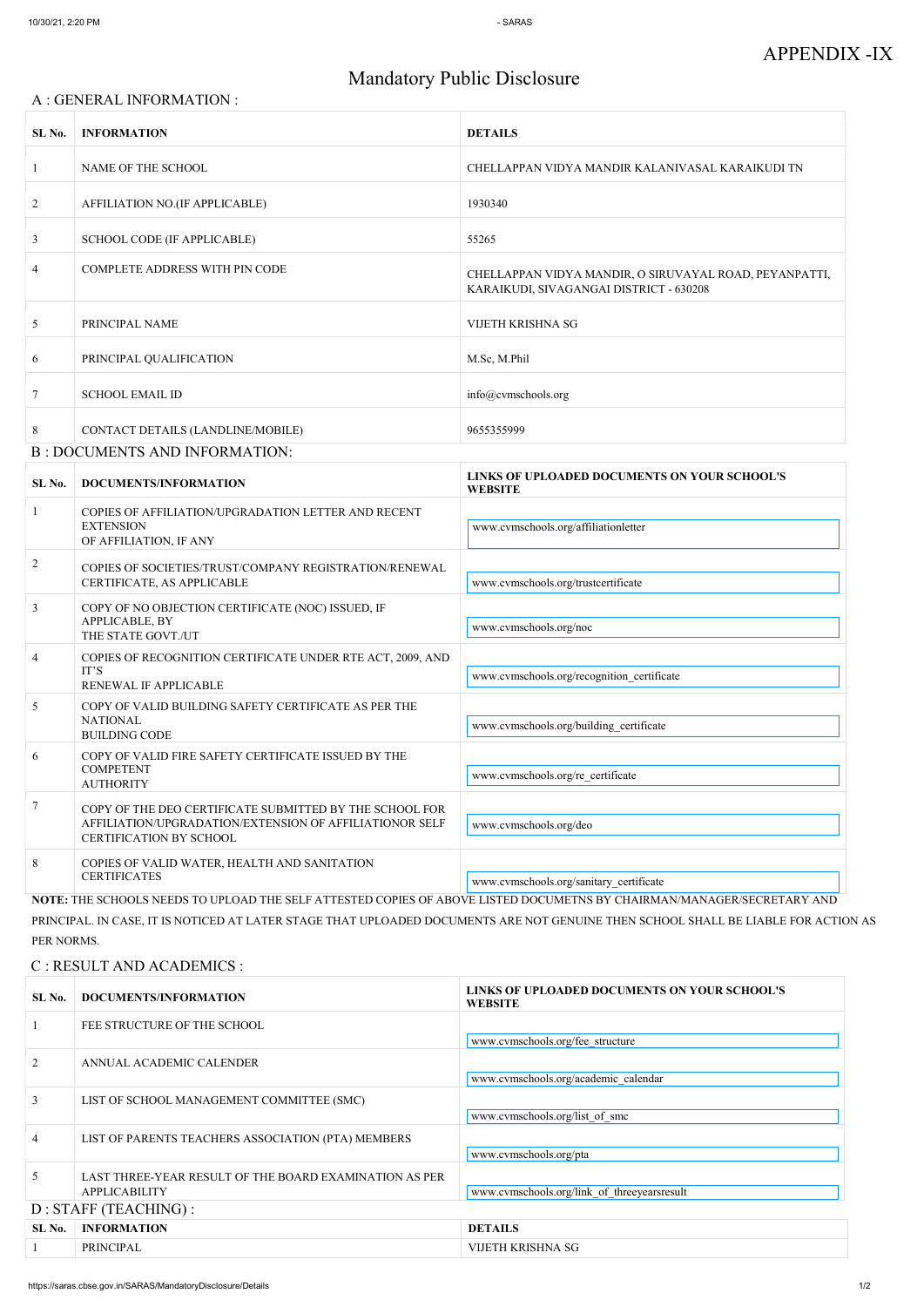# APPENDIX -IX

## Mandatory Public Disclosure

#### A : GENERAL INFORMATION :

| SL No.         | <b>INFORMATION</b>                   | <b>DETAILS</b>                                                                                    |  |
|----------------|--------------------------------------|---------------------------------------------------------------------------------------------------|--|
| $\mathbf{1}$   | NAME OF THE SCHOOL                   | CHELLAPPAN VIDYA MANDIR KALANIVASAL KARAIKUDI TN                                                  |  |
| 2              | AFFILIATION NO.(IF APPLICABLE)       | 1930340                                                                                           |  |
| $\mathfrak{Z}$ | <b>SCHOOL CODE (IF APPLICABLE)</b>   | 55265                                                                                             |  |
| 4              | COMPLETE ADDRESS WITH PIN CODE       | CHELLAPPAN VIDYA MANDIR, O SIRUVAYAL ROAD, PEYANPATTI,<br>KARAIKUDI, SIVAGANGAI DISTRICT - 630208 |  |
| 5 <sup>5</sup> | PRINCIPAL NAME                       | VIJETH KRISHNA SG                                                                                 |  |
| 6              | PRINCIPAL QUALIFICATION              | M.Sc, M.Phil                                                                                      |  |
| 7              | <b>SCHOOL EMAIL ID</b>               | info@cvmschools.org                                                                               |  |
| 8              | CONTACT DETAILS (LANDLINE/MOBILE)    | 9655355999                                                                                        |  |
|                | <b>B: DOCUMENTS AND INFORMATION:</b> |                                                                                                   |  |

#### SL No. DOCUMENTS/INFORMATION LINKS OF UPLOADED DOCUMENTS ON YOUR SCHOOL'S **WEBSITE** 1 COPIES OF AFFILIATION/UPGRADATION LETTER AND RECENT EXTENSION OF AFFILIATION, IF ANY www.cvmschools.org/affiliationletter <sup>2</sup> COPIES OF SOCIETIES/TRUST/COMPANY REGISTRATION/RENEWAL CERTIFICATE, AS APPLICABLE www.cvmschools.org/trustcertificate 3 COPY OF NO OBJECTION CERTIFICATE (NOC) ISSUED, IF APPLICABLE, BY THE STATE GOVT./UT www.cvmschools.org/noc 4 COPIES OF RECOGNITION CERTIFICATE UNDER RTE ACT, 2009, AND IT'S RENEWAL IF APPLICABLE www.cvmschools.org/recognition\_certificate 5 COPY OF VALID BUILDING SAFETY CERTIFICATE AS PER THE NATIONAL BUILDING CODE www.cvmschools.org/building\_certificate 6 COPY OF VALID FIRE SAFETY CERTIFICATE ISSUED BY THE COMPETENT AUTHORITY www.cvmschools.org/re\_certificate 7 COPY OF THE DEO CERTIFICATE SUBMITTED BY THE SCHOOL FOR AFFILIATION/UPGRADATION/EXTENSION OF AFFILIATIONOR SELF CERTIFICATION BY SCHOOL www.cvmschools.org/deo 8 COPIES OF VALID WATER, HEALTH AND SANITATION CERTIFICATES www.cvmschools.org/sanitary\_certificate NOTE: THE SCHOOLS NEEDS TO UPLOAD THE SELF ATTESTED COPIES OF ABOVE LISTED DOCUMETNS BY CHAIRMAN/MANAGER/SECRETARY AND

PRINCIPAL. IN CASE, IT IS NOTICED AT LATER STAGE THAT UPLOADED DOCUMENTS ARE NOT GENUINE THEN SCHOOL SHALL BE LIABLE FOR ACTION AS PER NORMS.

C : RESULT AND ACADEMICS :

| SL No.                 | <b>DOCUMENTS/INFORMATION</b>                           | LINNS OF UFLOADED DOCUMENTS ON TOUN SCHOOL S<br><b>WEBSITE</b> |
|------------------------|--------------------------------------------------------|----------------------------------------------------------------|
|                        | FEE STRUCTURE OF THE SCHOOL                            |                                                                |
|                        |                                                        | www.cvmschools.org/fee structure                               |
|                        | ANNUAL ACADEMIC CALENDER                               |                                                                |
|                        |                                                        | www.cvmschools.org/academic calendar                           |
| 3                      | LIST OF SCHOOL MANAGEMENT COMMITTEE (SMC)              |                                                                |
|                        |                                                        | www.cvmschools.org/list of smc                                 |
|                        | LIST OF PARENTS TEACHERS ASSOCIATION (PTA) MEMBERS     |                                                                |
|                        |                                                        | www.cvmschools.org/pta                                         |
|                        | LAST THREE-YEAR RESULT OF THE BOARD EXAMINATION AS PER |                                                                |
| <b>APPLICABILITY</b>   |                                                        | www.cvmschools.org/link of threeyearsresult                    |
| $D:STATE$ (TEACHING) : |                                                        |                                                                |
| SL No.                 | <b>INFORMATION</b>                                     | <b>DETAILS</b>                                                 |
|                        | PRINCIPAL                                              | VIJETH KRISHNA SG                                              |